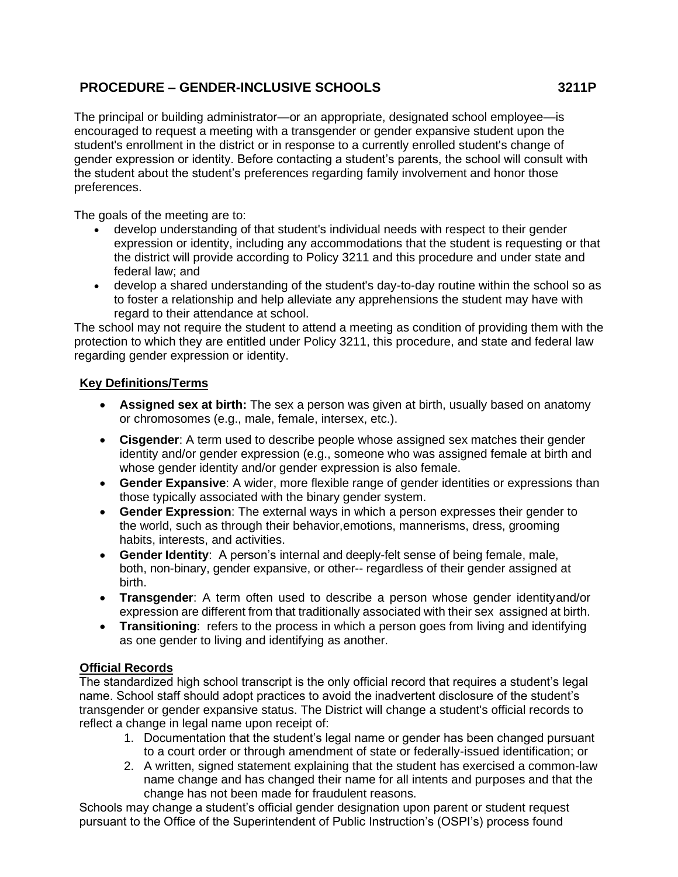# **PROCEDURE – GENDER-INCLUSIVE SCHOOLS 3211P**

The principal or building administrator—or an appropriate, designated school employee—is encouraged to request a meeting with a transgender or gender expansive student upon the student's enrollment in the district or in response to a currently enrolled student's change of gender expression or identity. Before contacting a student's parents, the school will consult with the student about the student's preferences regarding family involvement and honor those preferences.

The goals of the meeting are to:

- develop understanding of that student's individual needs with respect to their gender expression or identity, including any accommodations that the student is requesting or that the district will provide according to Policy 3211 and this procedure and under state and federal law; and
- develop a shared understanding of the student's day-to-day routine within the school so as to foster a relationship and help alleviate any apprehensions the student may have with regard to their attendance at school.

The school may not require the student to attend a meeting as condition of providing them with the protection to which they are entitled under Policy 3211, this procedure, and state and federal law regarding gender expression or identity.

## **Key Definitions/Terms**

- **Assigned sex at birth:** The sex a person was given at birth, usually based on anatomy or chromosomes (e.g., male, female, intersex, etc.).
- **Cisgender**: A term used to describe people whose assigned sex matches their gender identity and/or gender expression (e.g., someone who was assigned female at birth and whose gender identity and/or gender expression is also female.
- **Gender Expansive**: A wider, more flexible range of gender identities or expressions than those typically associated with the binary gender system.
- **Gender Expression**: The external ways in which a person expresses their gender to the world, such as through their behavior,emotions, mannerisms, dress, grooming habits, interests, and activities.
- **Gender Identity**: A person's internal and deeply-felt sense of being female, male, both, non-binary, gender expansive, or other-- regardless of their gender assigned at birth.
- **Transgender**: A term often used to describe a person whose gender identityand/or expression are different from that traditionally associated with their sex assigned at birth.
- **Transitioning**: refers to the process in which a person goes from living and identifying as one gender to living and identifying as another.

## **Official Records**

The standardized high school transcript is the only official record that requires a student's legal name. School staff should adopt practices to avoid the inadvertent disclosure of the student's transgender or gender expansive status. The District will change a student's official records to reflect a change in legal name upon receipt of:

- 1. Documentation that the student's legal name or gender has been changed pursuant to a court order or through amendment of state or federally-issued identification; or
- 2. A written, signed statement explaining that the student has exercised a common-law name change and has changed their name for all intents and purposes and that the change has not been made for fraudulent reasons.

Schools may change a student's official gender designation upon parent or student request pursuant to the Office of the Superintendent of Public Instruction's (OSPI's) process found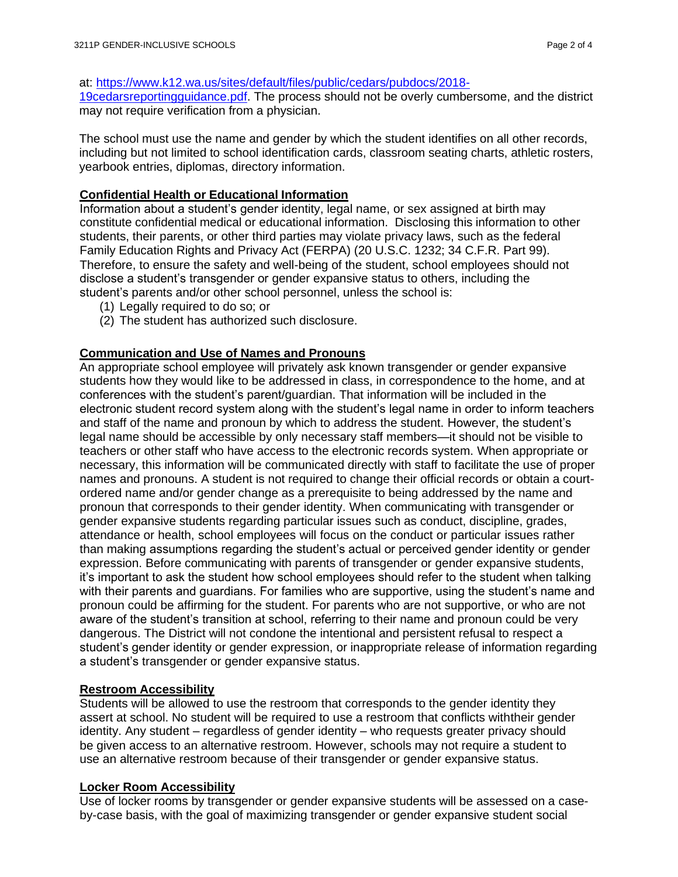### at: [https://www.k12.wa.us/sites/default/files/public/cedars/pubdocs/2018-](http://www.k12.wa.us/sites/default/files/public/cedars/pubdocs/2018-19cedarsreportingguidance.pdf)

[19cedarsreportingguidance.pdf.](http://www.k12.wa.us/sites/default/files/public/cedars/pubdocs/2018-19cedarsreportingguidance.pdf) The process should not be overly cumbersome, and the district may not require verification from a physician.

The school must use the name and gender by which the student identifies on all other records, including but not limited to school identification cards, classroom seating charts, athletic rosters, yearbook entries, diplomas, directory information.

### **Confidential Health or Educational Information**

Information about a student's gender identity, legal name, or sex assigned at birth may constitute confidential medical or educational information. Disclosing this information to other students, their parents, or other third parties may violate privacy laws, such as the federal Family Education Rights and Privacy Act (FERPA) (20 U.S.C. 1232; 34 C.F.R. Part 99). Therefore, to ensure the safety and well-being of the student, school employees should not disclose a student's transgender or gender expansive status to others, including the student's parents and/or other school personnel, unless the school is:

- (1) Legally required to do so; or
- (2) The student has authorized such disclosure.

### **Communication and Use of Names and Pronouns**

An appropriate school employee will privately ask known transgender or gender expansive students how they would like to be addressed in class, in correspondence to the home, and at conferences with the student's parent/guardian. That information will be included in the electronic student record system along with the student's legal name in order to inform teachers and staff of the name and pronoun by which to address the student. However, the student's legal name should be accessible by only necessary staff members—it should not be visible to teachers or other staff who have access to the electronic records system. When appropriate or necessary, this information will be communicated directly with staff to facilitate the use of proper names and pronouns. A student is not required to change their official records or obtain a courtordered name and/or gender change as a prerequisite to being addressed by the name and pronoun that corresponds to their gender identity. When communicating with transgender or gender expansive students regarding particular issues such as conduct, discipline, grades, attendance or health, school employees will focus on the conduct or particular issues rather than making assumptions regarding the student's actual or perceived gender identity or gender expression. Before communicating with parents of transgender or gender expansive students, it's important to ask the student how school employees should refer to the student when talking with their parents and guardians. For families who are supportive, using the student's name and pronoun could be affirming for the student. For parents who are not supportive, or who are not aware of the student's transition at school, referring to their name and pronoun could be very dangerous. The District will not condone the intentional and persistent refusal to respect a student's gender identity or gender expression, or inappropriate release of information regarding a student's transgender or gender expansive status.

### **Restroom Accessibility**

Students will be allowed to use the restroom that corresponds to the gender identity they assert at school. No student will be required to use a restroom that conflicts withtheir gender identity. Any student – regardless of gender identity – who requests greater privacy should be given access to an alternative restroom. However, schools may not require a student to use an alternative restroom because of their transgender or gender expansive status.

#### **Locker Room Accessibility**

Use of locker rooms by transgender or gender expansive students will be assessed on a caseby-case basis, with the goal of maximizing transgender or gender expansive student social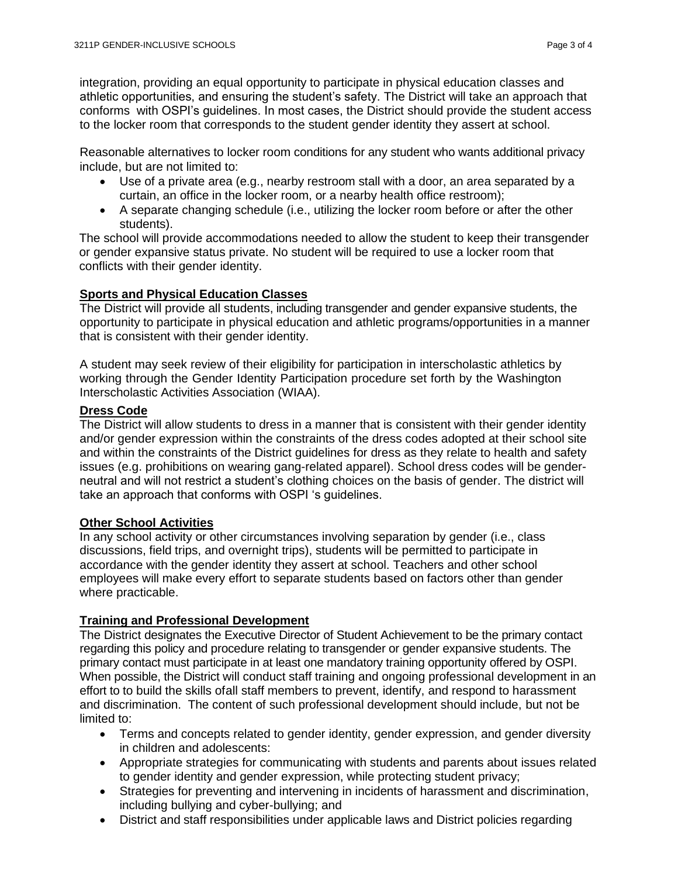Reasonable alternatives to locker room conditions for any student who wants additional privacy include, but are not limited to:

- Use of a private area (e.g., nearby restroom stall with a door, an area separated by a curtain, an office in the locker room, or a nearby health office restroom);
- A separate changing schedule (i.e., utilizing the locker room before or after the other students).

The school will provide accommodations needed to allow the student to keep their transgender or gender expansive status private. No student will be required to use a locker room that conflicts with their gender identity.

## **Sports and Physical Education Classes**

The District will provide all students, including transgender and gender expansive students, the opportunity to participate in physical education and athletic programs/opportunities in a manner that is consistent with their gender identity.

A student may seek review of their eligibility for participation in interscholastic athletics by working through the Gender Identity Participation procedure set forth by the Washington Interscholastic Activities Association (WIAA).

## **Dress Code**

The District will allow students to dress in a manner that is consistent with their gender identity and/or gender expression within the constraints of the dress codes adopted at their school site and within the constraints of the District guidelines for dress as they relate to health and safety issues (e.g. prohibitions on wearing gang-related apparel). School dress codes will be genderneutral and will not restrict a student's clothing choices on the basis of gender. The district will take an approach that conforms with OSPI 's guidelines.

## **Other School Activities**

In any school activity or other circumstances involving separation by gender (i.e., class discussions, field trips, and overnight trips), students will be permitted to participate in accordance with the gender identity they assert at school. Teachers and other school employees will make every effort to separate students based on factors other than gender where practicable.

## **Training and Professional Development**

The District designates the Executive Director of Student Achievement to be the primary contact regarding this policy and procedure relating to transgender or gender expansive students. The primary contact must participate in at least one mandatory training opportunity offered by OSPI. When possible, the District will conduct staff training and ongoing professional development in an effort to to build the skills of all staff members to prevent, identify, and respond to harassment and discrimination. The content of such professional development should include, but not be limited to:

- Terms and concepts related to gender identity, gender expression, and gender diversity in children and adolescents:
- Appropriate strategies for communicating with students and parents about issues related to gender identity and gender expression, while protecting student privacy;
- Strategies for preventing and intervening in incidents of harassment and discrimination, including bullying and cyber-bullying; and
- District and staff responsibilities under applicable laws and District policies regarding